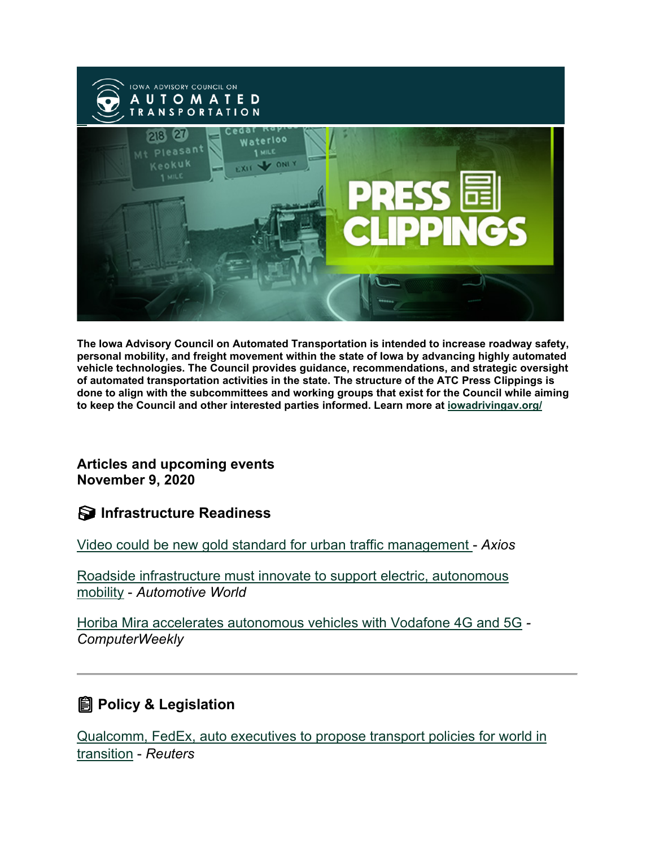

**The Iowa Advisory Council on Automated Transportation is intended to increase roadway safety, personal mobility, and freight movement within the state of Iowa by advancing highly automated vehicle technologies. The Council provides guidance, recommendations, and strategic oversight of automated transportation activities in the state. The structure of the ATC Press Clippings is done to align with the subcommittees and working groups that exist for the Council while aiming to keep the Council and other interested parties informed. Learn more at [iowadrivingav.org/](https://iowadrivingav.org/?utm_medium=email&utm_source=govdelivery)**

**Articles and upcoming events November 9, 2020**

**S** Infrastructure Readiness

[Video could be new gold standard for urban traffic management](https://www.axios.com/video-cities-autonomous-vehicles-parking-a352ea59-4eab-403b-96a2-58f9d9b0bbbb.html?utm_medium=email&utm_source=govdelivery) - *Axios*

[Roadside infrastructure must innovate to support electric, autonomous](https://www.automotiveworld.com/articles/roadside-infrastructure-must-innovate-to-support-electric-autonomous-mobility/?utm_medium=email&utm_source=govdelivery)  [mobility](https://www.automotiveworld.com/articles/roadside-infrastructure-must-innovate-to-support-electric-autonomous-mobility/?utm_medium=email&utm_source=govdelivery) - *Automotive World*

[Horiba Mira accelerates autonomous vehicles with](https://www.computerweekly.com/news/252491539/Horiba-Mira-accelerates-autonomous-vehicles-with-Vodafone-4G-5G?utm_medium=email&utm_source=govdelivery) Vodafone 4G and 5G *- ComputerWeekly*

## **<u></u></u> Policy & Legislation**

[Qualcomm, FedEx, auto executives to propose transport policies for world in](https://www.reuters.com/article/us-usa-autos-mobility/qualcomm-fedex-auto-executives-to-propose-modernized-transport-policies-idUKKBN27F1XL?utm_medium=email&utm_source=govdelivery)  [transition](https://www.reuters.com/article/us-usa-autos-mobility/qualcomm-fedex-auto-executives-to-propose-modernized-transport-policies-idUKKBN27F1XL?utm_medium=email&utm_source=govdelivery) - *Reuters*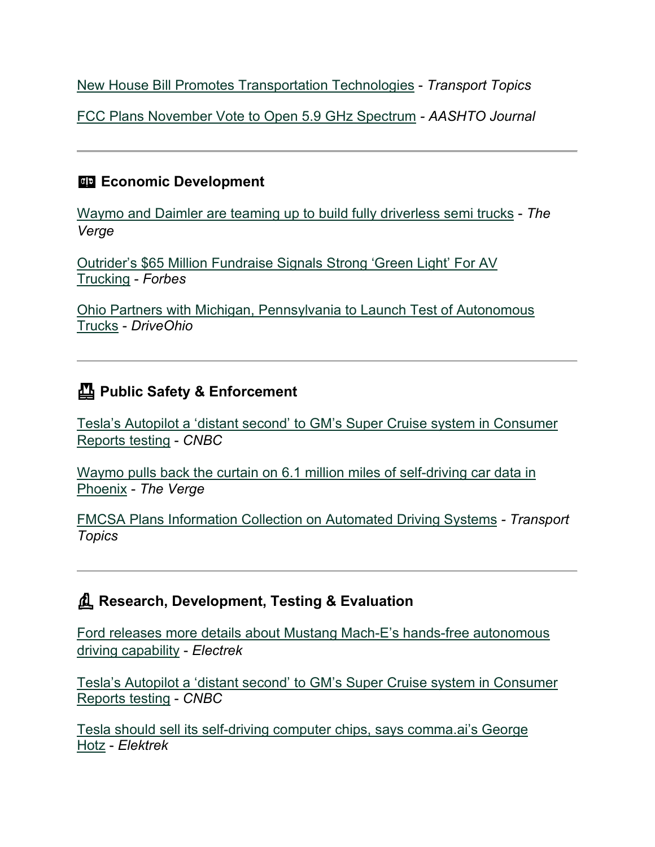[New House Bill Promotes Transportation Technologies](https://www.ttnews.com/articles/new-house-bill-promotes-transportation-technologies?utm_medium=email&utm_source=govdelivery) - *Transport Topics*

[FCC Plans November Vote to Open 5.9 GHz Spectrum](https://aashtojournal.org/2020/10/30/fcc-plans-november-vote-to-open-5-9-ghz-spectrum/?utm_medium=email&utm_source=govdelivery) *- AASHTO Journal*

### **Example 2** Economic Development

[Waymo and Daimler are teaming up to build fully driverless semi trucks](https://www.theverge.com/2020/10/27/21536048/waymo-daimler-driverless-semi-trucks-cascadia-freightliner?utm_medium=email&utm_source=govdelivery) - *The Verge*

[Outrider's \\$65 Million Fundraise Signals Strong 'Green Light' For AV](https://www.forbes.com/sites/richardbishop1/2020/10/28/65m-outrider-fundraise-signals-a-strong-green-light-for-av-trucking-overall/?sh=706889df56ec&utm_medium=email&utm_source=govdelivery)  [Trucking](https://www.forbes.com/sites/richardbishop1/2020/10/28/65m-outrider-fundraise-signals-a-strong-green-light-for-av-trucking-overall/?sh=706889df56ec&utm_medium=email&utm_source=govdelivery) - *Forbes*

[Ohio Partners with Michigan, Pennsylvania to Launch Test of Autonomous](https://drive.ohio.gov/wps/portal/gov/driveohio/about-driveohio/news-and-events/autonomous-trucks?utm_medium=email&utm_source=govdelivery)  [Trucks](https://drive.ohio.gov/wps/portal/gov/driveohio/about-driveohio/news-and-events/autonomous-trucks?utm_medium=email&utm_source=govdelivery) - *DriveOhio*

## **Public Safety & Enforcement**

[Tesla's Autopilot a 'distant second' to GM's Super Cruise system in Consumer](https://www.cnbc.com/2020/10/28/gms-super-cruise-tops-teslas-autopilot-in-consumer-reports-testing.html?utm_medium=email&utm_source=govdelivery)  [Reports](https://www.cnbc.com/2020/10/28/gms-super-cruise-tops-teslas-autopilot-in-consumer-reports-testing.html?utm_medium=email&utm_source=govdelivery) testing - *CNBC*

[Waymo pulls back the curtain on 6.1 million miles of self-driving car data in](https://www.theverge.com/2020/10/30/21538999/waymo-self-driving-car-data-miles-crashes-phoenix-google?utm_medium=email&utm_source=govdelivery)  [Phoenix](https://www.theverge.com/2020/10/30/21538999/waymo-self-driving-car-data-miles-crashes-phoenix-google?utm_medium=email&utm_source=govdelivery) - *The Verge*

[FMCSA Plans Information Collection on Automated Driving Systems](https://www.ttnews.com/articles/fmcsa-plans-information-collection-automated-driving-systems?utm_medium=email&utm_source=govdelivery) *- Transport Topics*

### **Research, Development, Testing & Evaluation**

[Ford releases more details about Mustang Mach-E's hands-free autonomous](https://electrek.co/2020/10/30/ford-mustang-mach-e-level-3-hands-free-autonomous-driving-capability/?utm_medium=email&utm_source=govdelivery)  [driving capability](https://electrek.co/2020/10/30/ford-mustang-mach-e-level-3-hands-free-autonomous-driving-capability/?utm_medium=email&utm_source=govdelivery) - *Electrek*

[Tesla's Autopilot a 'distant second' to GM's Super Cruise system in Consumer](https://www.cnbc.com/2020/10/28/gms-super-cruise-tops-teslas-autopilot-in-consumer-reports-testing.html?utm_medium=email&utm_source=govdelivery)  [Reports testing](https://www.cnbc.com/2020/10/28/gms-super-cruise-tops-teslas-autopilot-in-consumer-reports-testing.html?utm_medium=email&utm_source=govdelivery) - *CNBC*

[Tesla should sell its self-driving computer chips, says comma.ai's George](https://electrek.co/2020/10/27/tesla-sell-self-driving-computer-chip-comma-ai-george-hotz/?utm_medium=email&utm_source=govdelivery)  [Hotz](https://electrek.co/2020/10/27/tesla-sell-self-driving-computer-chip-comma-ai-george-hotz/?utm_medium=email&utm_source=govdelivery) - *Elektrek*